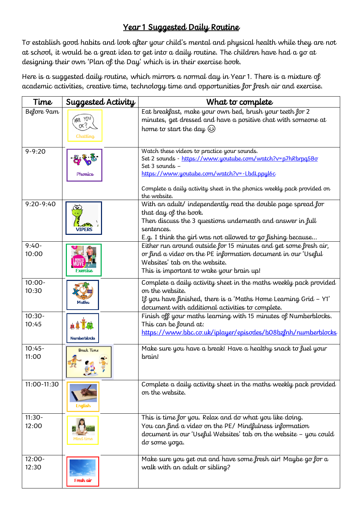## Year 1 Suggested Daily Routine

To establish good habits and look after your child's mental and physical health while they are not at school, it would be a great idea to get into a daily routine. The children have had a go at designing their own 'Plan of the Day' which is in their exercise book.

Here is a suggested daily routine, which mirrors a normal day in Year 1. There is a mixture of academic activities, creative time, technology time and opportunities for fresh air and exercise.

| Time               | Suggested Activity | What to complete                                                                                                                            |
|--------------------|--------------------|---------------------------------------------------------------------------------------------------------------------------------------------|
| Before 9am         | ARE YOU<br>nK''    | Eat breakfast, make your own bed, brush your teeth for 2<br>minutes, get dressed and have a positive chat with someone at                   |
|                    | Chatting           | home to start the day (s)                                                                                                                   |
| $9 - 9:20$         |                    | Watch these videos to practice your sounds.<br>Set 2 sounds - https://www.youtube.com/watch?v=p7hRbrpq5Bo                                   |
|                    | <b>Phonics</b>     | Set 3 sounds -<br>https://www.youtube.com/watch?v=-LbdLppyl6c                                                                               |
|                    |                    |                                                                                                                                             |
|                    |                    | Complete a daily activity sheet in the phonics weekly pack provided on<br>the website.                                                      |
| $9:20 - 9:40$      | $\bullet$          | With an adult/ independently read the double page spread for<br>that day of the book.                                                       |
|                    | <b>VIPERS</b>      | Then discuss the 3 questions underneath and answer in full<br>sentences.                                                                    |
|                    |                    | E.g. I think the girl was not allowed to go fishing because                                                                                 |
| $9:40-$<br>10:00   |                    | Either run around outside for 15 minutes and get some fresh air,<br>or find a video on the PE information document in our 'Useful           |
|                    | -xordise           | Websites' tab on the website.<br>This is important to wake your brain up!                                                                   |
| $10:00 -$          |                    | Complete a daily activity sheet in the maths weekly pack provided                                                                           |
| 10:30              |                    | on the website.                                                                                                                             |
|                    | Maths              | If you have finished, there is a 'Maths Home Learning Grid - Y1'<br>document with additional activities to complete.                        |
| $10:30 -$<br>10:45 |                    | Finish off your maths learning with 15 minutes of Numberblocks.<br>This can be found at:                                                    |
|                    | Numberblocks       | https://www.bbc.co.uk/iplayer/episodes/b08bzlnh/numberblocks                                                                                |
| $10:45-$           | <b>Break Time</b>  | Make sure you have a break! Have a healthy snack to fuel your                                                                               |
| 11:00              |                    | brain!                                                                                                                                      |
| 11:00-11:30        |                    | Complete a daily activity sheet in the maths weekly pack provided<br>on the website.                                                        |
|                    | English            |                                                                                                                                             |
| $11:30-$<br>12:00  |                    | This is time for you. Relax and do what you like doing.                                                                                     |
|                    |                    | You can find a video on the PE/Mindfulness information<br>document in our 'Useful Websites' tab on the website - you could<br>do some yoga. |
| $12:00 -$<br>12:30 |                    | Make sure you get out and have some fresh air! Maybe go for a<br>walk with an adult or sibling?                                             |
|                    | Fresh air          |                                                                                                                                             |